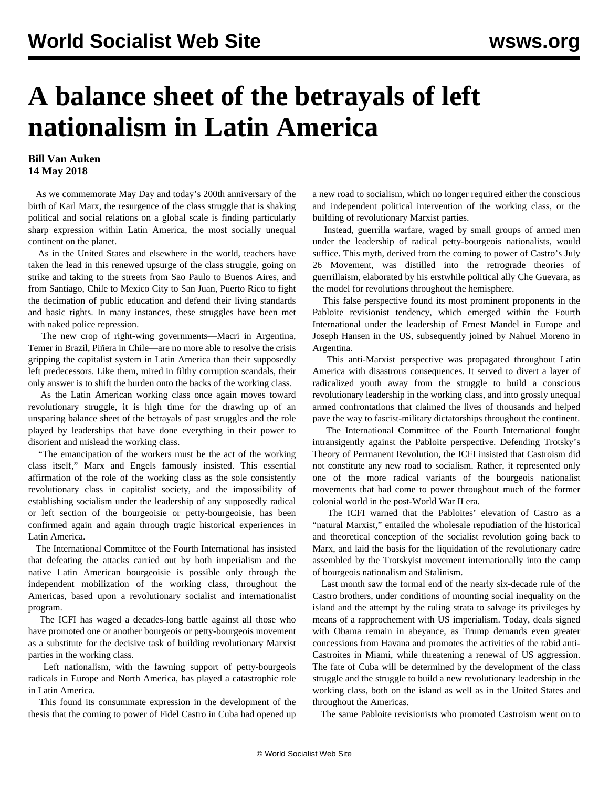## **A balance sheet of the betrayals of left nationalism in Latin America**

## **Bill Van Auken 14 May 2018**

 As we commemorate May Day and today's 200th anniversary of the birth of Karl Marx, the resurgence of the class struggle that is shaking political and social relations on a global scale is finding particularly sharp expression within Latin America, the most socially unequal continent on the planet.

 As in the United States and elsewhere in the world, teachers have taken the lead in this renewed upsurge of the class struggle, going on strike and taking to the streets from Sao Paulo to Buenos Aires, and from Santiago, Chile to Mexico City to San Juan, Puerto Rico to fight the decimation of public education and defend their living standards and basic rights. In many instances, these struggles have been met with naked police repression.

 The new crop of right-wing governments—Macri in Argentina, Temer in Brazil, Piñera in Chile—are no more able to resolve the crisis gripping the capitalist system in Latin America than their supposedly left predecessors. Like them, mired in filthy corruption scandals, their only answer is to shift the burden onto the backs of the working class.

 As the Latin American working class once again moves toward revolutionary struggle, it is high time for the drawing up of an unsparing balance sheet of the betrayals of past struggles and the role played by leaderships that have done everything in their power to disorient and mislead the working class.

 "The emancipation of the workers must be the act of the working class itself," Marx and Engels famously insisted. This essential affirmation of the role of the working class as the sole consistently revolutionary class in capitalist society, and the impossibility of establishing socialism under the leadership of any supposedly radical or left section of the bourgeoisie or petty-bourgeoisie, has been confirmed again and again through tragic historical experiences in Latin America.

 The International Committee of the Fourth International has insisted that defeating the attacks carried out by both imperialism and the native Latin American bourgeoisie is possible only through the independent mobilization of the working class, throughout the Americas, based upon a revolutionary socialist and internationalist program.

 The ICFI has waged a decades-long battle against all those who have promoted one or another bourgeois or petty-bourgeois movement as a substitute for the decisive task of building revolutionary Marxist parties in the working class.

 Left nationalism, with the fawning support of petty-bourgeois radicals in Europe and North America, has played a catastrophic role in Latin America.

 This found its consummate expression in the development of the thesis that the coming to power of Fidel Castro in Cuba had opened up a new road to socialism, which no longer required either the conscious and independent political intervention of the working class, or the building of revolutionary Marxist parties.

 Instead, guerrilla warfare, waged by small groups of armed men under the leadership of radical petty-bourgeois nationalists, would suffice. This myth, derived from the coming to power of Castro's July 26 Movement, was distilled into the retrograde theories of guerrillaism, elaborated by his erstwhile political ally Che Guevara, as the model for revolutions throughout the hemisphere.

 This false perspective found its most prominent proponents in the Pabloite revisionist tendency, which emerged within the Fourth International under the leadership of Ernest Mandel in Europe and Joseph Hansen in the US, subsequently joined by Nahuel Moreno in Argentina.

 This anti-Marxist perspective was propagated throughout Latin America with disastrous consequences. It served to divert a layer of radicalized youth away from the struggle to build a conscious revolutionary leadership in the working class, and into grossly unequal armed confrontations that claimed the lives of thousands and helped pave the way to fascist-military dictatorships throughout the continent.

 The International Committee of the Fourth International fought intransigently against the Pabloite perspective. Defending Trotsky's Theory of Permanent Revolution, the ICFI insisted that Castroism did not constitute any new road to socialism. Rather, it represented only one of the more radical variants of the bourgeois nationalist movements that had come to power throughout much of the former colonial world in the post-World War II era.

 The ICFI warned that the Pabloites' elevation of Castro as a "natural Marxist," entailed the wholesale repudiation of the historical and theoretical conception of the socialist revolution going back to Marx, and laid the basis for the liquidation of the revolutionary cadre assembled by the Trotskyist movement internationally into the camp of bourgeois nationalism and Stalinism.

 Last month saw the formal end of the nearly six-decade rule of the Castro brothers, under conditions of mounting social inequality on the island and the attempt by the ruling strata to salvage its privileges by means of a rapprochement with US imperialism. Today, deals signed with Obama remain in abeyance, as Trump demands even greater concessions from Havana and promotes the activities of the rabid anti-Castroites in Miami, while threatening a renewal of US aggression. The fate of Cuba will be determined by the development of the class struggle and the struggle to build a new revolutionary leadership in the working class, both on the island as well as in the United States and throughout the Americas.

The same Pabloite revisionists who promoted Castroism went on to